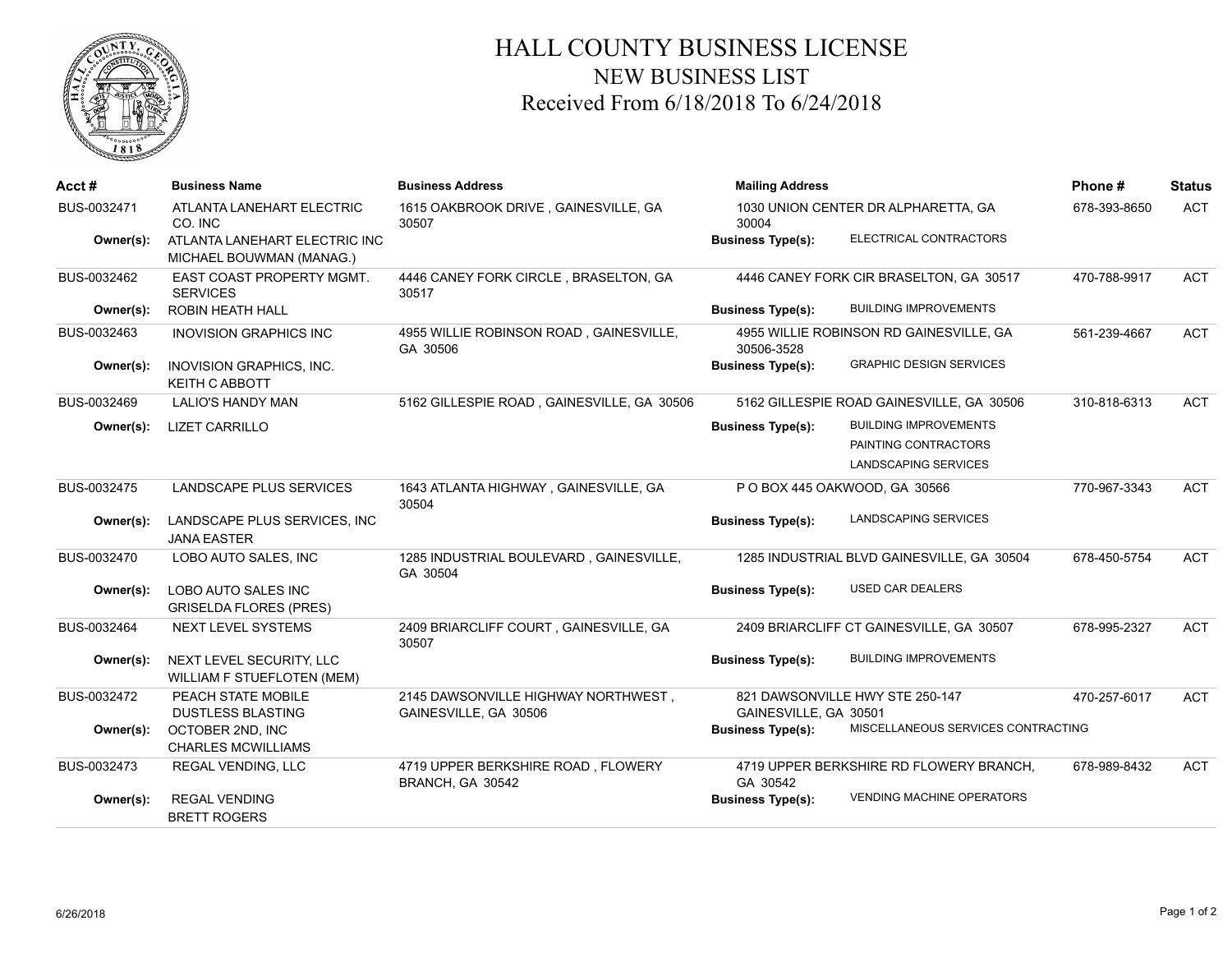

## HALL COUNTY BUSINESS LICENSE NEW BUSINESS LIST Received From 6/18/2018 To 6/24/2018

| Acct#       | <b>Business Name</b>                                      | <b>Business Address</b>                                      | <b>Mailing Address</b>                       |                                            | Phone #      | <b>Status</b> |
|-------------|-----------------------------------------------------------|--------------------------------------------------------------|----------------------------------------------|--------------------------------------------|--------------|---------------|
| BUS-0032471 | ATLANTA LANEHART ELECTRIC<br>CO. INC                      | 1615 OAKBROOK DRIVE, GAINESVILLE, GA<br>30507                | 1030 UNION CENTER DR ALPHARETTA, GA<br>30004 |                                            | 678-393-8650 | <b>ACT</b>    |
| Owner(s):   | ATLANTA LANEHART ELECTRIC INC<br>MICHAEL BOUWMAN (MANAG.) |                                                              | <b>Business Type(s):</b>                     | ELECTRICAL CONTRACTORS                     |              |               |
| BUS-0032462 | EAST COAST PROPERTY MGMT.<br><b>SERVICES</b>              | 4446 CANEY FORK CIRCLE, BRASELTON, GA<br>30517               |                                              | 4446 CANEY FORK CIR BRASELTON, GA 30517    | 470-788-9917 | ACT           |
| Owner(s):   | <b>ROBIN HEATH HALL</b>                                   |                                                              | <b>Business Type(s):</b>                     | <b>BUILDING IMPROVEMENTS</b>               |              |               |
| BUS-0032463 | <b>INOVISION GRAPHICS INC</b>                             | 4955 WILLIE ROBINSON ROAD, GAINESVILLE,<br>GA 30506          | 30506-3528                                   | 4955 WILLIE ROBINSON RD GAINESVILLE, GA    | 561-239-4667 | <b>ACT</b>    |
| Owner(s):   | INOVISION GRAPHICS, INC.<br><b>KEITH C ABBOTT</b>         |                                                              | <b>Business Type(s):</b>                     | <b>GRAPHIC DESIGN SERVICES</b>             |              |               |
| BUS-0032469 | <b>LALIO'S HANDY MAN</b>                                  | 5162 GILLESPIE ROAD, GAINESVILLE, GA 30506                   |                                              | 5162 GILLESPIE ROAD GAINESVILLE, GA 30506  | 310-818-6313 | ACT           |
| Owner(s):   | <b>LIZET CARRILLO</b>                                     |                                                              | <b>Business Type(s):</b>                     | <b>BUILDING IMPROVEMENTS</b>               |              |               |
|             |                                                           |                                                              |                                              | PAINTING CONTRACTORS                       |              |               |
|             |                                                           |                                                              |                                              | LANDSCAPING SERVICES                       |              |               |
| BUS-0032475 | LANDSCAPE PLUS SERVICES                                   | 1643 ATLANTA HIGHWAY, GAINESVILLE, GA<br>30504               |                                              | P O BOX 445 OAKWOOD, GA 30566              | 770-967-3343 | <b>ACT</b>    |
| Owner(s):   | LANDSCAPE PLUS SERVICES, INC<br><b>JANA EASTER</b>        |                                                              | <b>Business Type(s):</b>                     | LANDSCAPING SERVICES                       |              |               |
| BUS-0032470 | LOBO AUTO SALES, INC                                      | 1285 INDUSTRIAL BOULEVARD, GAINESVILLE,<br>GA 30504          |                                              | 1285 INDUSTRIAL BLVD GAINESVILLE, GA 30504 | 678-450-5754 | <b>ACT</b>    |
| Owner(s):   | LOBO AUTO SALES INC<br><b>GRISELDA FLORES (PRES)</b>      |                                                              | <b>Business Type(s):</b>                     | <b>USED CAR DEALERS</b>                    |              |               |
| BUS-0032464 | <b>NEXT LEVEL SYSTEMS</b>                                 | 2409 BRIARCLIFF COURT, GAINESVILLE, GA<br>30507              |                                              | 2409 BRIARCLIFF CT GAINESVILLE, GA 30507   | 678-995-2327 | <b>ACT</b>    |
| Owner(s):   | NEXT LEVEL SECURITY, LLC<br>WILLIAM F STUEFLOTEN (MEM)    |                                                              | <b>Business Type(s):</b>                     | <b>BUILDING IMPROVEMENTS</b>               |              |               |
| BUS-0032472 | PEACH STATE MOBILE<br><b>DUSTLESS BLASTING</b>            | 2145 DAWSONVILLE HIGHWAY NORTHWEST,<br>GAINESVILLE, GA 30506 | GAINESVILLE, GA 30501                        | 821 DAWSONVILLE HWY STE 250-147            | 470-257-6017 | ACT           |
| Owner(s):   | OCTOBER 2ND, INC<br><b>CHARLES MCWILLIAMS</b>             |                                                              | <b>Business Type(s):</b>                     | MISCELLANEOUS SERVICES CONTRACTING         |              |               |
| BUS-0032473 | <b>REGAL VENDING, LLC</b>                                 | 4719 UPPER BERKSHIRE ROAD, FLOWERY<br>BRANCH, GA 30542       | GA 30542                                     | 4719 UPPER BERKSHIRE RD FLOWERY BRANCH,    | 678-989-8432 | <b>ACT</b>    |
| Owner(s):   | <b>REGAL VENDING</b><br><b>BRETT ROGERS</b>               |                                                              | <b>Business Type(s):</b>                     | <b>VENDING MACHINE OPERATORS</b>           |              |               |